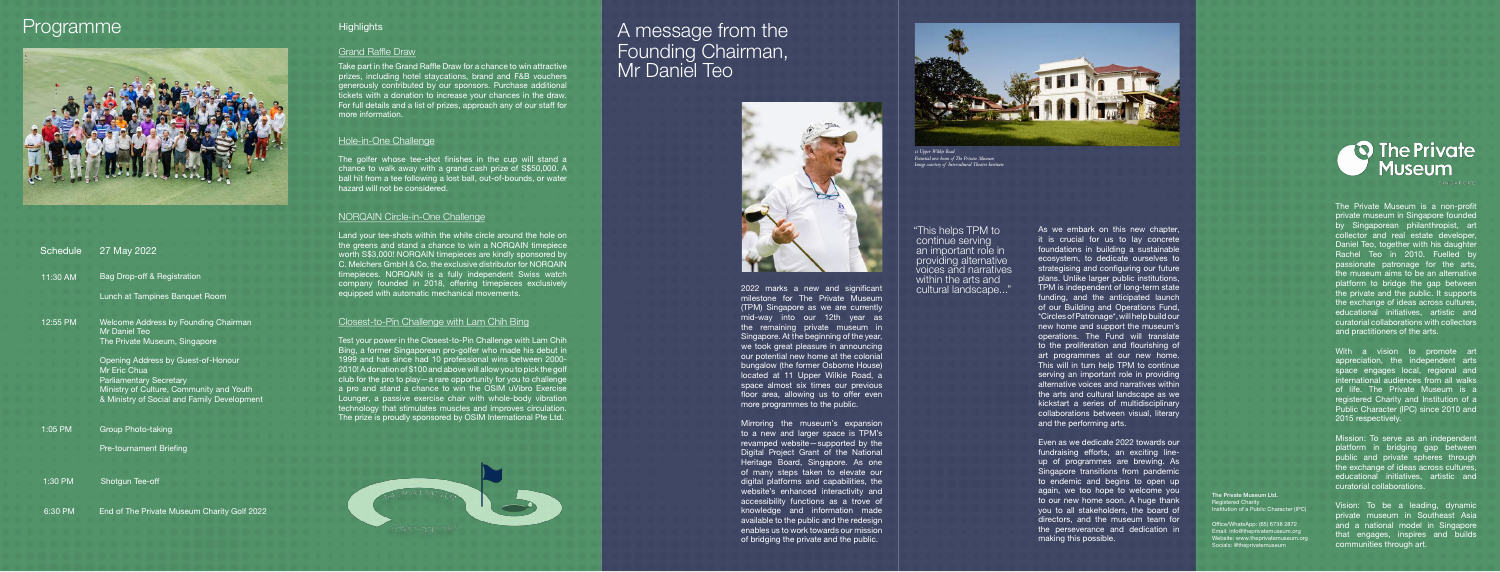As we embark on this new chapter, it is crucial for us to lay concrete foundations in building a sustainable ecosystem, to dedicate ourselves to strategising and configuring our future plans. Unlike larger public institutions, TPM is independent of long-term state funding, and the anticipated launch of our Building and Operations Fund, \*Circles of Patronage\*, will help build our new home and support the museum's operations. The Fund will translate to the proliferation and flourishing of art programmes at our new home. This will in turn help TPM to continue serving an important role in providing alternative voices and narratives within the arts and cultural landscape as we kickstart a series of multidisciplinary collaborations between visual, literary and the performing arts.

Even as we dedicate 2022 towards our fundraising efforts, an exciting lineup of programmes are brewing. As Singapore transitions from pandemic to endemic and begins to open up again, we too hope to welcome you to our new home soon. A huge thank you to all stakeholders, the board of directors, and the museum team for the perseverance and dedication in making this possible.

"This helps TPM to continue serving an important role in providing alternative voices and narratives within the arts and cultural landscape..."

The Private Museum is a non-profit private museum in Singapore founded by Singaporean philanthropist, art collector and real estate developer, Daniel Teo, together with his daughter Rachel Teo in 2010. Fuelled by passionate patronage for the arts, the museum aims to be an alternative platform to bridge the gap between the private and the public. It supports the exchange of ideas across cultures, educational initiatives, artistic and curatorial collaborations with collectors and practitioners of the arts.

With a vision to promote art appreciation, the independent arts space engages local, regional and international audiences from all walks of life. The Private Museum is a registered Charity and Institution of a Public Character (IPC) since 2010 and 2015 respectively.

Mission: To serve as an independent platform in bridging gap between public and private spheres through the exchange of ideas across cultures, educational initiatives, artistic and curatorial collaborations.

Take part in the Grand Raffle Draw for a chance to win attractive prizes, including hotel staycations, brand and F&B vouchers generously contributed by our sponsors. Purchase additional tickets with a donation to increase your chances in the draw. For full details and a list of prizes, approach any of our staff for more information.

> Vision: To be a leading, dynamic private museum in Southeast Asia and a national model in Singapore that engages, inspires and builds communities through art.



## A message from the Founding Chairman, Mr Daniel Teo



2022 marks a new and significant milestone for The Private Museum (TPM) Singapore as we are currently mid-way into our 12th year as the remaining private museum in Singapore. At the beginning of the year, we took great pleasure in announcing our potential new home at the colonial bungalow (the former Osborne House) located at 11 Upper Wilkie Road, a space almost six times our previous floor area, allowing us to offer even more programmes to the public.

Mirroring the museum's expansion to a new and larger space is TPM's revamped website—supported by the Digital Project Grant of the National Heritage Board, Singapore. As one of many steps taken to elevate our digital platforms and capabilities, the website's enhanced interactivity and accessibility functions as a trove of knowledge and information made available to the public and the redesign enables us to work towards our mission of bridging the private and the public.

## Programme



The golfer whose tee-shot finishes in the cup will stand a chance to walk away with a grand cash prize of S\$50,000. A ball hit from a tee following a lost ball, out-of-bounds, or water hazard will not be considered.

Test your power in the Closest-to-Pin Challenge with Lam Chih Bing, a former Singaporean pro-golfer who made his debut in 1999 and has since had 10 professional wins between 2000- 2010! A donation of \$100 and above will allow you to pick the golf club for the pro to play—a rare opportunity for you to challenge a pro and stand a chance to win the OSIM uVibro Exercise Lounger, a passive exercise chair with whole-body vibration technology that stimulates muscles and improves circulation. The prize is proudly sponsored by OSIM International Pte Ltd.



| <b>Schedule</b> | 27 May 2022                                                  |
|-----------------|--------------------------------------------------------------|
| 11:30 AM        | Bag Drop-off & Registration                                  |
|                 | Lunch at Tampines Banquet Room                               |
| 12:55 PM        | Welcome Address by Founding Chairman<br><b>Mr Daniel Teo</b> |
|                 | The Private Museum, Singapore                                |
|                 | Opening Address by Guest-of-Honour<br>Mr Eric Chua           |
|                 | <b>Parliamentary Secretary</b>                               |
|                 | Ministry of Culture, Community and Youth                     |
|                 | & Ministry of Social and Family Development                  |
| 1:05 PM         | <b>Group Photo-taking</b>                                    |
|                 | Pre-tournament Briefing                                      |
|                 |                                                              |
| 1:30 PM         | Shotgun Tee-off                                              |
| 6:30 PM         | End of The Private Museum Charity Golf 2022                  |

### **Highlights**

#### **Grand Raffle Draw**

Land your tee-shots within the white circle around the hole on the greens and stand a chance to win a NORQAIN timepiece worth S\$3,000! NORQAIN timepieces are kindly sponsored by C. Melchers GmbH & Co, the exclusive distributor for NORQAIN timepieces. NORQAIN is a fully independent Swiss watch company founded in 2018, offering timepieces exclusively equipped with automatic mechanical movements.

#### Hole-in-One Challenge

### Closest-to-Pin Challenge with Lam Chih Bing

### NORQAIN Circle-in-One Challenge



*11 Upper Wilkie Road Potential new home of The Private Museum Image courtesy of Intercultural Theatre Institute*

The Private Museum Ltd. Registered Charity

Institution of a Public Character (IPC) O\$ce/WhatsApp: (65) 6738 2872 Email: info@theprivatemuseum.org Website: www.theprivatemuseum.org Socials: @theprivatemuseum